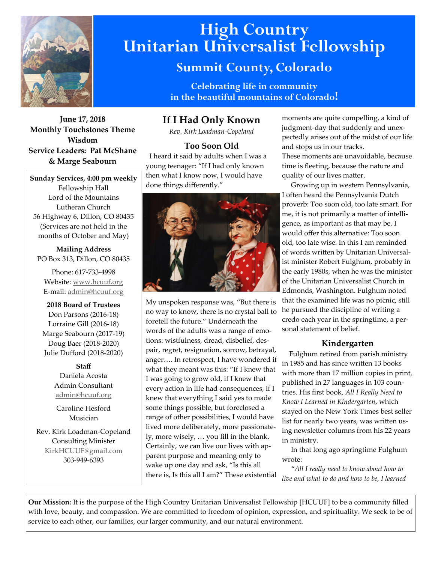

# **High Country Unitarian Universalist Fellowship**

# **Summit County, Colorado**

**Celebrating life in community in the beautiful mountains of Colorado!** 

**June 17, 2018 Monthly Touchstones Theme Wisdom Service Leaders: Pat McShane & Marge Seabourn**

**Sunday Services, 4:00 pm weekly** Fellowship Hall Lord of the Mountains Lutheran Church 56 Highway 6, Dillon, CO 80435 (Services are not held in the months of October and May)

**Mailing Address** PO Box 313, Dillon, CO 80435

Phone: 617-733-4998 Website: [www.hcuuf.org](http://www.hcuuf.org/) E-mail: [admin@hcuuf.org](mailto:admin@hcuuf.org)

**2018 Board of Trustees** Don Parsons (2016-18) Lorraine Gill (2016-18) Marge Seabourn (2017-19) Doug Baer (2018-2020) Julie Dufford (2018-2020)

> **Staff** Daniela Acosta Admin Consultant [admin@hcuuf.org](mailto:admin@hcuuf.org)

Caroline Hesford Musician

Rev. Kirk Loadman-Copeland Consulting Minister [KirkHCUUF@gmail.com](mailto:KirkHCUUF@gmail.com) 303-949-6393

# **If I Had Only Known**

*Rev. Kirk Loadman-Copeland*

# **Too Soon Old**

 I heard it said by adults when I was a young teenager: "If I had only known then what I know now, I would have done things differently."



My unspoken response was, "But there is no way to know, there is no crystal ball to foretell the future." Underneath the words of the adults was a range of emotions: wistfulness, dread, disbelief, despair, regret, resignation, sorrow, betrayal, anger…. In retrospect, I have wondered if what they meant was this: "If I knew that I was going to grow old, if I knew that every action in life had consequences, if I knew that everything I said yes to made some things possible, but foreclosed a range of other possibilities, I would have lived more deliberately, more passionately, more wisely, … you fill in the blank. Certainly, we can live our lives with apparent purpose and meaning only to wake up one day and ask, "Is this all there is, Is this all I am?" These existential

moments are quite compelling, a kind of judgment-day that suddenly and unexpectedly arises out of the midst of our life and stops us in our tracks. These moments are unavoidable, because time is fleeting, because the nature and quality of our lives matter.

 Growing up in western Pennsylvania, I often heard the Pennsylvania Dutch proverb: Too soon old, too late smart. For me, it is not primarily a matter of intelligence, as important as that may be. I would offer this alternative: Too soon old, too late wise. In this I am reminded of words written by Unitarian Universalist minister Robert Fulghum, probably in the early 1980s, when he was the minister of the Unitarian Universalist Church in Edmonds, Washington. Fulghum noted that the examined life was no picnic, still he pursued the discipline of writing a credo each year in the springtime, a personal statement of belief.

# **Kindergarten**

 Fulghum retired from parish ministry in 1985 and has since written 13 books with more than 17 million copies in print, published in 27 languages in 103 countries. His first book, *All I Really Need to Know I Learned in Kindergarten*, which stayed on the New York Times best seller list for nearly two years, was written using newsletter columns from his 22 years in ministry.

 In that long ago springtime Fulghum wrote:

 *"All I really need to know about how to live and what to do and how to be, I learned* 

**Our Mission:** It is the purpose of the High Country Unitarian Universalist Fellowship [HCUUF] to be a community filled with love, beauty, and compassion. We are committed to freedom of opinion, expression, and spirituality. We seek to be of service to each other, our families, our larger community, and our natural environment.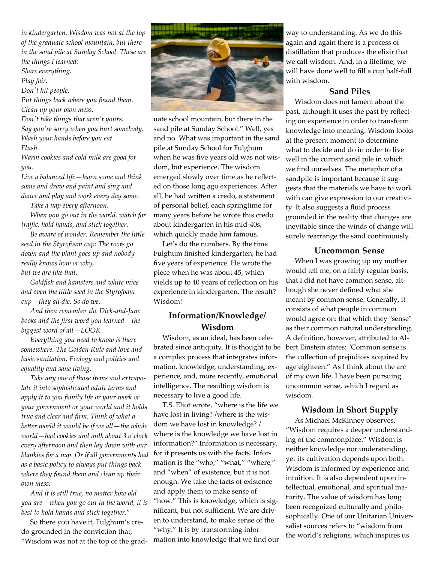*in kindergarten. Wisdom was not at the top of the graduate school mountain, but there in the sand pile at Sunday School. These are the things I learned: Share everything.* 

*Play fair.* 

*Don't hit people.* 

*Put things back where you found them. Clean up your own mess.* 

*Don't take things that aren't yours.* 

*Say you're sorry when you hurt somebody. Wash your hands before you eat. Flush.* 

*Warm cookies and cold milk are good for you.* 

*Live a balanced life—learn some and think some and draw and paint and sing and dance and play and work every day some.* 

 *Take a nap every afternoon.* 

 *When you go out in the world, watch for traffic, hold hands, and stick together.* 

 *Be aware of wonder. Remember the little seed in the Styrofoam cup: The roots go down and the plant goes up and nobody really knows how or why,* 

*but we are like that.* 

 *Goldfish and hamsters and white mice and even the little seed in the Styrofoam cup—they all die. So do we.*

 *And then remember the Dick-and-Jane books and the first word you learned—the biggest word of all—LOOK.* 

 *Everything you need to know is there somewhere. The Golden Rule and love and basic sanitation. Ecology and politics and equality and sane living.* 

 *Take any one of those items and extrapolate it into sophisticated adult terms and apply it to you family life or your work or your government or your world and it holds true and clear and firm. Think of what a better world it would be if we all—the whole world—had cookies and milk about 3 o'clock every afternoon and then lay down with our blankies for a nap. Or if all governments had as a basic policy to always put things back where they found them and clean up their own mess.* 

 *And it is still true, no matter how old you are—when you go out in the world, it is best to hold hands and stick together*."

 So there you have it, Fulghum's credo grounded in the conviction that, "Wisdom was not at the top of the grad-



uate school mountain, but there in the sand pile at Sunday School." Well, yes and no. What was important in the sand pile at Sunday School for Fulghum when he was five years old was not wisdom, but experience. The wisdom emerged slowly over time as he reflected on those long ago experiences. After all, he had written a credo, a statement of personal belief, each springtime for many years before he wrote this credo about kindergarten in his mid-40s, which quickly made him famous.

 Let's do the numbers. By the time Fulghum finished kindergarten, he had five years of experience. He wrote the piece when he was about 45, which yields up to 40 years of reflection on his experience in kindergarten. The result? Wisdom!

# **Information/Knowledge/ Wisdom**

 Wisdom, as an ideal, has been celebrated since antiquity. It is thought to be bert Einstein states: "Common sense is a complex process that integrates information, knowledge, understanding, experience, and, more recently, emotional intelligence. The resulting wisdom is necessary to live a good life.

 T.S. Eliot wrote, "where is the life we have lost in living? /where is the wisdom we have lost in knowledge? / where is the knowledge we have lost in information?" Information is necessary, for it presents us with the facts. Information is the "who," "what," "where," and "when" of existence, but it is not enough. We take the facts of existence and apply them to make sense of "how." This is knowledge, which is significant, but not sufficient. We are driven to understand, to make sense of the "why." It is by transforming information into knowledge that we find our way to understanding. As we do this again and again there is a process of distillation that produces the elixir that we call wisdom. And, in a lifetime, we will have done well to fill a cup half-full with wisdom.

## **Sand Piles**

 Wisdom does not lament about the past, although it uses the past by reflecting on experience in order to transform knowledge into meaning. Wisdom looks at the present moment to determine what to decide and do in order to live well in the current sand pile in which we find ourselves. The metaphor of a sandpile is important because it suggests that the materials we have to work with can give expression to our creativity. It also suggests a fluid process grounded in the reality that changes are inevitable since the winds of change will surely rearrange the sand continuously.

# **Uncommon Sense**

 When I was growing up my mother would tell me, on a fairly regular basis, that I did not have common sense, although she never defined what she meant by common sense. Generally, it consists of what people in common would agree on: that which they "sense" as their common natural understanding. A definition, however, attributed to Althe collection of prejudices acquired by age eighteen." As I think about the arc of my own life, I have been pursuing uncommon sense, which I regard as wisdom.

# **Wisdom in Short Supply**

 As Michael McKinney observes, "Wisdom requires a deeper understanding of the commonplace." Wisdom is neither knowledge nor understanding, yet its cultivation depends upon both. Wisdom is informed by experience and intuition. It is also dependent upon intellectual, emotional, and spiritual maturity. The value of wisdom has long been recognized culturally and philosophically. One of our Unitarian Universalist sources refers to "wisdom from the world's religions, which inspires us